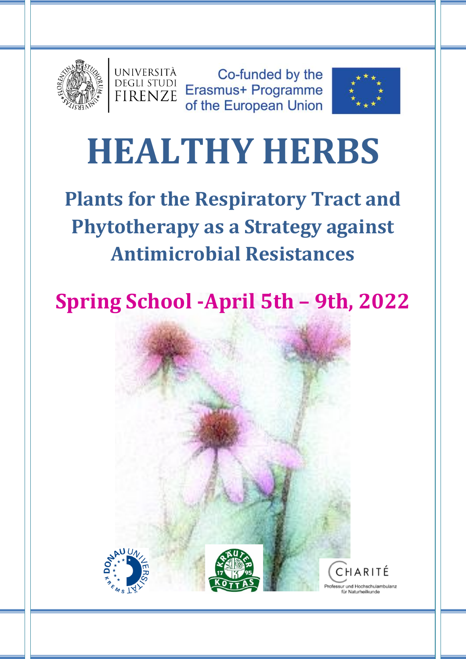



Spring School -April 5th – 9th – 9th – 9th – 9th – 9th – 9th – 9th – 9th – 9th – 9th – 9th – 9th – 9th – 9th –



# **HEALTHY HERBS**

**Plants for the Respiratory Tract and Phytotherapy as a Strategy against Antimicrobial Resistances**

## **Spring School -April 5th – 9th, 2022**





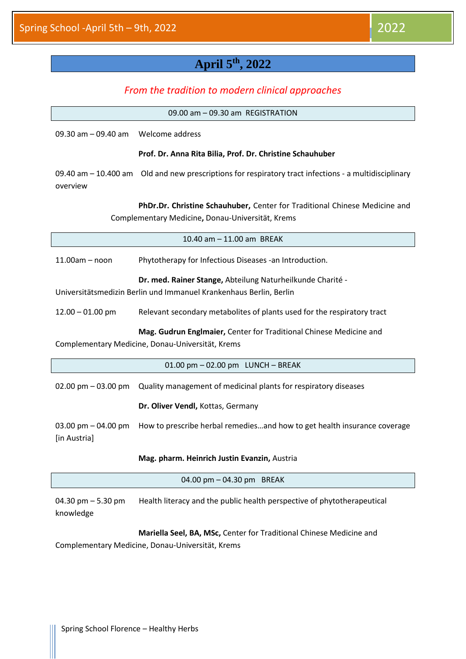#### **April 5 th, 2022**

#### *From the tradition to modern clinical approaches*

|                                                                                                                                  | 09.00 am - 09.30 am REGISTRATION                                                                                               |  |  |
|----------------------------------------------------------------------------------------------------------------------------------|--------------------------------------------------------------------------------------------------------------------------------|--|--|
| 09.30 am $-$ 09.40 am                                                                                                            | Welcome address                                                                                                                |  |  |
| Prof. Dr. Anna Rita Bilia, Prof. Dr. Christine Schauhuber                                                                        |                                                                                                                                |  |  |
| 09.40 am $-$ 10.400 am<br>overview                                                                                               | Old and new prescriptions for respiratory tract infections - a multidisciplinary                                               |  |  |
|                                                                                                                                  | PhDr.Dr. Christine Schauhuber, Center for Traditional Chinese Medicine and<br>Complementary Medicine, Donau-Universität, Krems |  |  |
|                                                                                                                                  | 10.40 am - 11.00 am BREAK                                                                                                      |  |  |
| $11.00am - noon$                                                                                                                 | Phytotherapy for Infectious Diseases -an Introduction.                                                                         |  |  |
| Dr. med. Rainer Stange, Abteilung Naturheilkunde Charité -<br>Universitätsmedizin Berlin und Immanuel Krankenhaus Berlin, Berlin |                                                                                                                                |  |  |
| $12.00 - 01.00$ pm                                                                                                               | Relevant secondary metabolites of plants used for the respiratory tract                                                        |  |  |
| Mag. Gudrun Englmaier, Center for Traditional Chinese Medicine and<br>Complementary Medicine, Donau-Universität, Krems           |                                                                                                                                |  |  |
|                                                                                                                                  | 01.00 pm - 02.00 pm LUNCH - BREAK                                                                                              |  |  |
| 02.00 pm $-$ 03.00 pm                                                                                                            | Quality management of medicinal plants for respiratory diseases                                                                |  |  |
|                                                                                                                                  | Dr. Oliver Vendl, Kottas, Germany                                                                                              |  |  |
| 03.00 pm $-$ 04.00 pm<br>[in Austria]                                                                                            | How to prescribe herbal remediesand how to get health insurance coverage                                                       |  |  |
|                                                                                                                                  | Mag. pharm. Heinrich Justin Evanzin, Austria                                                                                   |  |  |
|                                                                                                                                  | 04.00 pm - 04.30 pm BREAK                                                                                                      |  |  |
| 04.30 pm $-$ 5.30 pm<br>knowledge                                                                                                | Health literacy and the public health perspective of phytotherapeutical                                                        |  |  |
|                                                                                                                                  | Mariella Seel, BA, MSc, Center for Traditional Chinese Medicine and                                                            |  |  |
|                                                                                                                                  | Complementary Medicine, Donau-Universität, Krems                                                                               |  |  |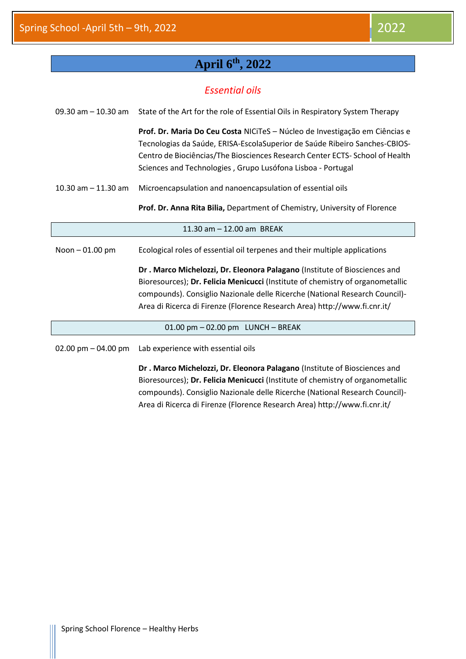#### **April 6th, 2022**

#### *Essential oils*

| 09.30 am $-$ 10.30 am | State of the Art for the role of Essential Oils in Respiratory System Therapy                                                                                                                                                                                                                            |
|-----------------------|----------------------------------------------------------------------------------------------------------------------------------------------------------------------------------------------------------------------------------------------------------------------------------------------------------|
|                       | Prof. Dr. Maria Do Ceu Costa NICITeS - Núcleo de Investigação em Ciências e<br>Tecnologias da Saúde, ERISA-EscolaSuperior de Saúde Ribeiro Sanches-CBIOS-<br>Centro de Biociências/The Biosciences Research Center ECTS- School of Health<br>Sciences and Technologies, Grupo Lusófona Lisboa - Portugal |
| 10.30 am $-$ 11.30 am | Microencapsulation and nanoencapsulation of essential oils                                                                                                                                                                                                                                               |
|                       | Prof. Dr. Anna Rita Bilia, Department of Chemistry, University of Florence                                                                                                                                                                                                                               |
|                       | 11.30 am - 12.00 am BREAK                                                                                                                                                                                                                                                                                |
| Noon-01.00 pm         | Ecological roles of essential oil terpenes and their multiple applications                                                                                                                                                                                                                               |
|                       | Dr. Marco Michelozzi, Dr. Eleonora Palagano (Institute of Biosciences and                                                                                                                                                                                                                                |
|                       | Bioresources); Dr. Felicia Menicucci (Institute of chemistry of organometallic                                                                                                                                                                                                                           |
|                       | compounds). Consiglio Nazionale delle Ricerche (National Research Council)-                                                                                                                                                                                                                              |
|                       | Area di Ricerca di Firenze (Florence Research Area) http://www.fi.cnr.it/                                                                                                                                                                                                                                |
|                       | $01.00$ pm $-02.00$ pm LUNCH $-$ BREAK                                                                                                                                                                                                                                                                   |
| 02.00 pm $-$ 04.00 pm | Lab experience with essential oils                                                                                                                                                                                                                                                                       |
|                       | Dr. Marco Michelozzi, Dr. Eleonora Palagano (Institute of Biosciences and<br>Bioresources); Dr. Felicia Menicucci (Institute of chemistry of organometallic<br>compounds). Consiglio Nazionale delle Ricerche (National Research Council)-                                                               |

Area di Ricerca di Firenze (Florence Research Area) http://www.fi.cnr.it/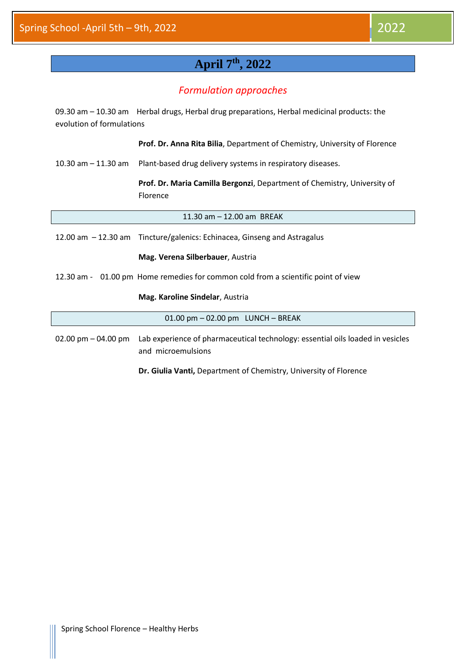#### **April 7 th, 2022**

#### *Formulation approaches*

09.30 am – 10.30 am Herbal drugs, Herbal drug preparations, Herbal medicinal products: the evolution of formulations

**Prof. Dr. Anna Rita Bilia**, Department of Chemistry, University of Florence

10.30 am – 11.30 am Plant-based drug delivery systems in respiratory diseases.

**Prof. Dr. Maria Camilla Bergonzi**, Department of Chemistry, University of Florence

11.30 am – 12.00 am BREAK

12.00 am – 12.30 am Tincture/galenics: Echinacea, Ginseng and Astragalus

**Mag. Verena Silberbauer**, Austria

12.30 am - 01.00 pm Home remedies for common cold from a scientific point of view

**Mag. Karoline Sindelar**, Austria

01.00 pm – 02.00 pm LUNCH – BREAK

02.00 pm – 04.00 pm Lab experience of pharmaceutical technology: essential oils loaded in vesicles and microemulsions

**Dr. Giulia Vanti,** Department of Chemistry, University of Florence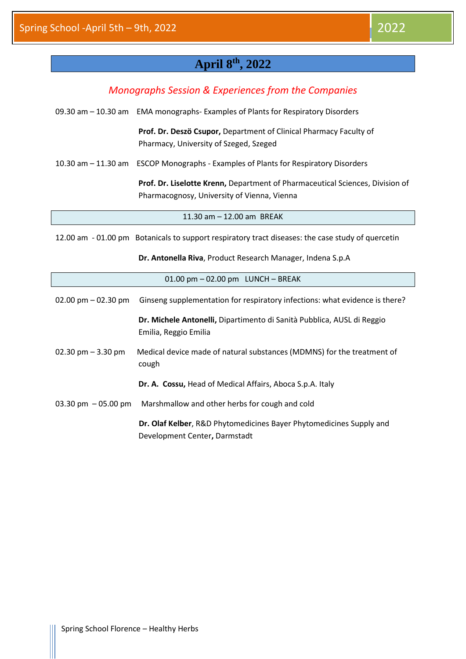#### **April 8 th, 2022**

#### *Monographs Session & Experiences from the Companies*

09.30 am – 10.30 am EMA monographs- Examples of Plants for Respiratory Disorders

**Prof. Dr. Deszö Csupor,** Department of Clinical Pharmacy Faculty of Pharmacy, University of Szeged, Szeged

10.30 am – 11.30 am ESCOP Monographs - Examples of Plants for Respiratory Disorders

**Prof. Dr. Liselotte Krenn,** Department of Pharmaceutical Sciences, Division of Pharmacognosy, University of Vienna, Vienna

11.30 am – 12.00 am BREAK

12.00 am - 01.00 pm Botanicals to support respiratory tract diseases: the case study of quercetin

**Dr. Antonella Riva**, Product Research Manager, Indena S.p.A

|                       | 01.00 pm - 02.00 pm LUNCH - BREAK                                                                    |
|-----------------------|------------------------------------------------------------------------------------------------------|
| 02.00 pm $-$ 02.30 pm | Ginseng supplementation for respiratory infections: what evidence is there?                          |
|                       | Dr. Michele Antonelli, Dipartimento di Sanità Pubblica, AUSL di Reggio<br>Emilia, Reggio Emilia      |
| 02.30 pm $-$ 3.30 pm  | Medical device made of natural substances (MDMNS) for the treatment of<br>cough                      |
|                       | Dr. A. Cossu, Head of Medical Affairs, Aboca S.p.A. Italy                                            |
| 03.30 pm $-05.00$ pm  | Marshmallow and other herbs for cough and cold                                                       |
|                       | Dr. Olaf Kelber, R&D Phytomedicines Bayer Phytomedicines Supply and<br>Development Center, Darmstadt |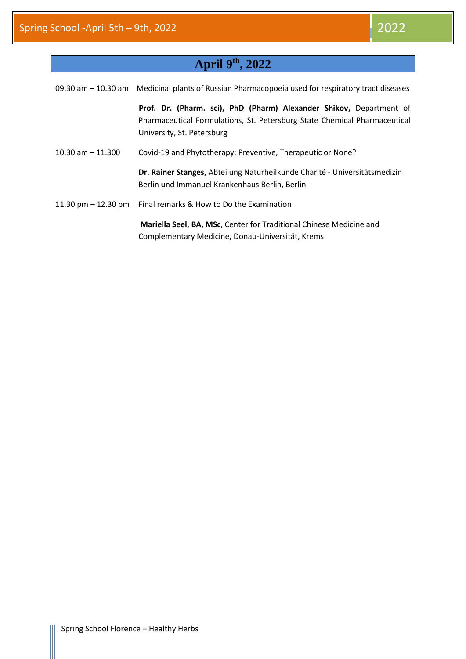#### **April 9 th, 2022**

|                       | 09.30 am - 10.30 am Medicinal plants of Russian Pharmacopoeia used for respiratory tract diseases                                                                              |
|-----------------------|--------------------------------------------------------------------------------------------------------------------------------------------------------------------------------|
|                       | Prof. Dr. (Pharm. sci), PhD (Pharm) Alexander Shikov, Department of<br>Pharmaceutical Formulations, St. Petersburg State Chemical Pharmaceutical<br>University, St. Petersburg |
| 10.30 am $-$ 11.300   | Covid-19 and Phytotherapy: Preventive, Therapeutic or None?                                                                                                                    |
|                       | Dr. Rainer Stanges, Abteilung Naturheilkunde Charité - Universitätsmedizin<br>Berlin und Immanuel Krankenhaus Berlin, Berlin                                                   |
| 11.30 pm $-$ 12.30 pm | Final remarks & How to Do the Examination                                                                                                                                      |
|                       | Mariella Seel, BA, MSc, Center for Traditional Chinese Medicine and<br>Complementary Medicine, Donau-Universität, Krems                                                        |